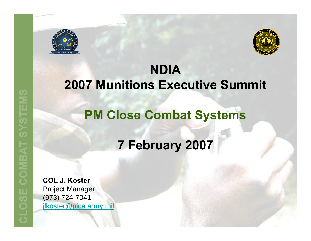



#### **NDIA 2007 Munitions Executive Summit**

#### **PM Close Combat Systems**

### **7 February 2007**

**COL J. Koster** Project Manager (973) 724-7041 jlkoster@pica.army.mil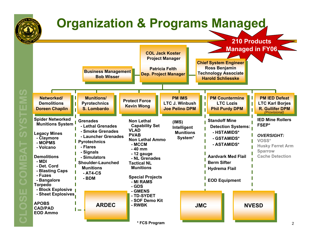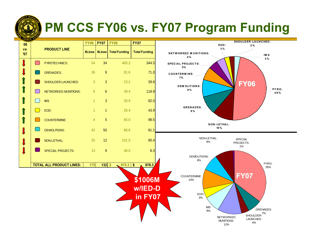

# **PM CCS FY06 vs. FY07 Program Funding**

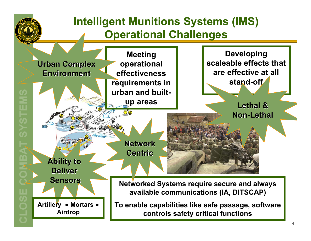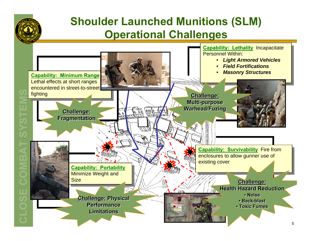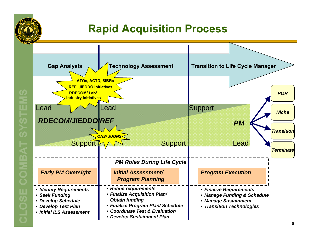

#### **Rapid Acquisition Process**

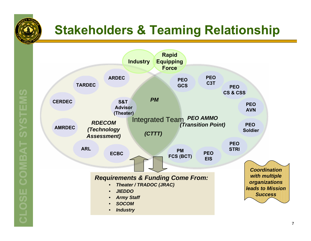

# **Stakeholders & Teaming Relationship**



**CLOSE COMBAT SYSTEMS SVSTEMS** COMBAT **GLOSE**